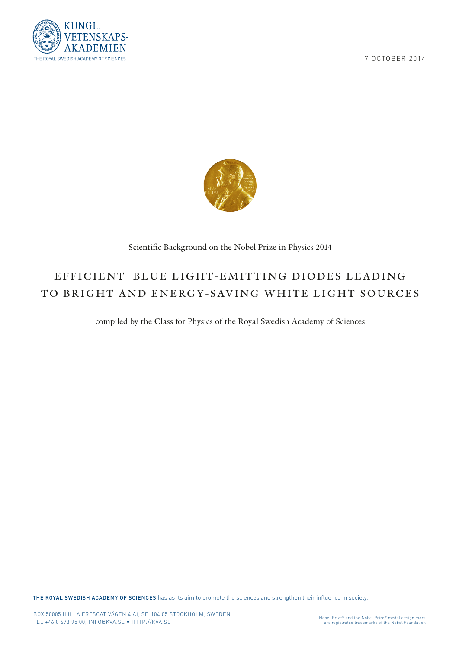



Scientifc Background on the Nobel Prize in Physics 2014

# EFFICIENT BLUE LIGHT-EMITTING DIODES LEADING TO BRIGHT AND ENERGY-SAVING WHITE LIGHT SOURCES

compiled by the Class for Physics of the Royal Swedish Academy of Sciences

THE ROYAL SWEDISH ACADEMY OF SCIENCES has as its aim to promote the sciences and strengthen their influence in society.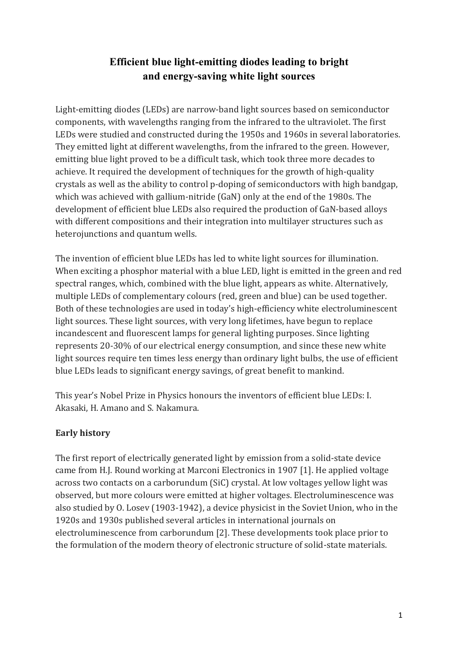## **Efficient blue light-emitting diodes leading to bright and energy-saving white light sources**

Light-emitting diodes (LEDs) are narrow-band light sources based on semiconductor components, with wavelengths ranging from the infrared to the ultraviolet. The first LEDs were studied and constructed during the 1950s and 1960s in several laboratories. They emitted light at different wavelengths, from the infrared to the green. However, emitting blue light proved to be a difficult task, which took three more decades to achieve. It required the development of techniques for the growth of high-quality crystals as well as the ability to control p-doping of semiconductors with high bandgap, which was achieved with gallium-nitride (GaN) only at the end of the 1980s. The development of efficient blue LEDs also required the production of GaN-based alloys with different compositions and their integration into multilayer structures such as heterojunctions and quantum wells.

The invention of efficient blue LEDs has led to white light sources for illumination. When exciting a phosphor material with a blue LED, light is emitted in the green and red spectral ranges, which, combined with the blue light, appears as white. Alternatively, multiple LEDs of complementary colours (red, green and blue) can be used together. Both of these technologies are used in today's high-efficiency white electroluminescent light sources. These light sources, with very long lifetimes, have begun to replace incandescent and fluorescent lamps for general lighting purposes. Since lighting represents 20-30% of our electrical energy consumption, and since these new white light sources require ten times less energy than ordinary light bulbs, the use of efficient blue LEDs leads to significant energy savings, of great benefit to mankind.

This year's Nobel Prize in Physics honours the inventors of efficient blue LEDs: I. Akasaki, H. Amano and S. Nakamura.

## **Early history**

The first report of electrically generated light by emission from a solid-state device came from H.J. Round working at Marconi Electronics in 1907 [1]. He applied voltage across two contacts on a carborundum (SiC) crystal. At low voltages yellow light was observed, but more colours were emitted at higher voltages. Electroluminescence was also studied by O. Losev (1903-1942), a device physicist in the Soviet Union, who in the 1920s and 1930s published several articles in international journals on electroluminescence from carborundum [2]. These developments took place prior to the formulation of the modern theory of electronic structure of solid-state materials.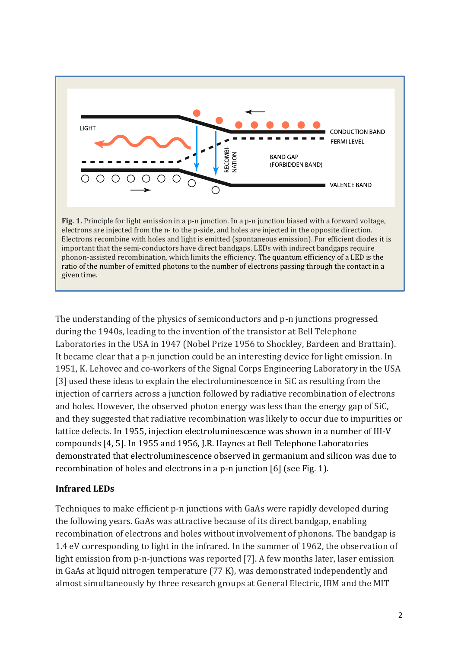

The understanding of the physics of semiconductors and p-n junctions progressed during the 1940s, leading to the invention of the transistor at Bell Telephone Laboratories in the USA in 1947 (Nobel Prize 1956 to Shockley, Bardeen and Brattain). It became clear that a p-n junction could be an interesting device for light emission. In 1951, K. Lehovec and co-workers of the Signal Corps Engineering Laboratory in the USA [3] used these ideas to explain the electroluminescence in SiC as resulting from the injection of carriers across a junction followed by radiative recombination of electrons and holes. However, the observed photon energy was less than the energy gap of SiC, and they suggested that radiative recombination was likely to occur due to impurities or lattice defects. In 1955, injection electroluminescence was shown in a number of III-V compounds [4, 5]. In 1955 and 1956, J.R. Haynes at Bell Telephone Laboratories demonstrated that electroluminescence observed in germanium and silicon was due to recombination of holes and electrons in a p-n junction [6] (see Fig. 1).

#### **Infrared LEDs**

Techniques to make efficient p-n junctions with GaAs were rapidly developed during the following years. GaAs was attractive because of its direct bandgap, enabling recombination of electrons and holes without involvement of phonons. The bandgap is 1.4 eV corresponding to light in the infrared. In the summer of 1962, the observation of light emission from p-n-junctions was reported [7]. A few months later, laser emission in GaAs at liquid nitrogen temperature (77 K), was demonstrated independently and almost simultaneously by three research groups at General Electric, IBM and the MIT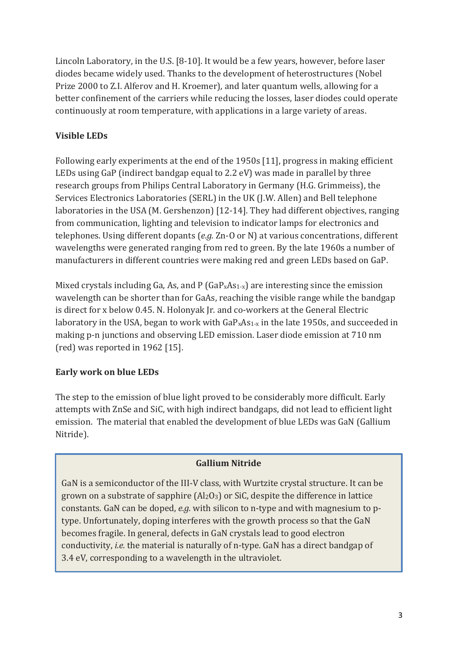Lincoln Laboratory, in the U.S. [8-10]. It would be a few years, however, before laser diodes became widely used. Thanks to the development of heterostructures (Nobel Prize 2000 to Z.I. Alferov and H. Kroemer), and later quantum wells, allowing for a better confinement of the carriers while reducing the losses, laser diodes could operate continuously at room temperature, with applications in a large variety of areas.

## **Visible LEDs**

Following early experiments at the end of the 1950s [11], progress in making efficient LEDs using GaP (indirect bandgap equal to 2.2 eV) was made in parallel by three research groups from Philips Central Laboratory in Germany (H.G. Grimmeiss), the Services Electronics Laboratories (SERL) in the UK (J.W. Allen) and Bell telephone laboratories in the USA (M. Gershenzon) [12-14]. They had different objectives, ranging from communication, lighting and television to indicator lamps for electronics and telephones. Using different dopants (*e.g.* Zn-O or N) at various concentrations, different wavelengths were generated ranging from red to green. By the late 1960s a number of manufacturers in different countries were making red and green LEDs based on GaP.

Mixed crystals including Ga, As, and P (GaP<sub>x</sub>As<sub>1-x</sub>) are interesting since the emission wavelength can be shorter than for GaAs, reaching the visible range while the bandgap is direct for x below 0.45. N. Holonyak Jr. and co-workers at the General Electric laboratory in the USA, began to work with  $GaP_xAs_{1-x}$  in the late 1950s, and succeeded in making p-n junctions and observing LED emission. Laser diode emission at 710 nm (red) was reported in 1962 [15].

## **Early work on blue LEDs**

The step to the emission of blue light proved to be considerably more difficult. Early attempts with ZnSe and SiC, with high indirect bandgaps, did not lead to efficient light emission. The material that enabled the development of blue LEDs was GaN (Gallium Nitride).

#### **Gallium Nitride**

GaN is a semiconductor of the III-V class, with Wurtzite crystal structure. It can be grown on a substrate of sapphire  $(Al_2O_3)$  or SiC, despite the difference in lattice constants. GaN can be doped, *e.g.* with silicon to n-type and with magnesium to ptype. Unfortunately, doping interferes with the growth process so that the GaN becomes fragile. In general, defects in GaN crystals lead to good electron conductivity, *i.e.* the material is naturally of n-type. GaN has a direct bandgap of 3.4 eV, corresponding to a wavelength in the ultraviolet.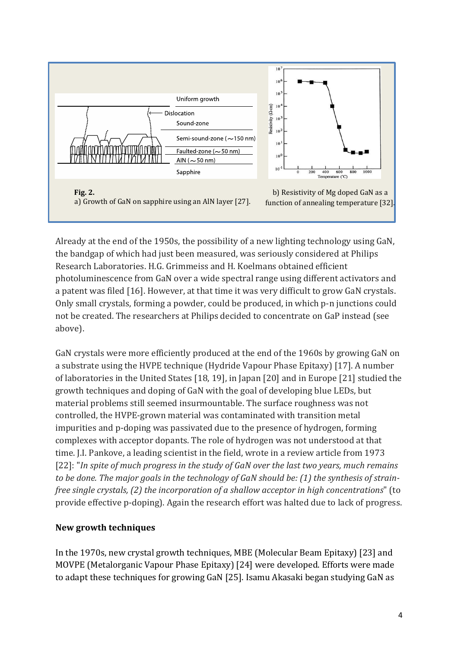

Already at the end of the 1950s, the possibility of a new lighting technology using GaN, the bandgap of which had just been measured, was seriously considered at Philips Research Laboratories. H.G. Grimmeiss and H. Koelmans obtained efficient photoluminescence from GaN over a wide spectral range using different activators and a patent was filed [16]. However, at that time it was very difficult to grow GaN crystals. Only small crystals, forming a powder, could be produced, in which p-n junctions could not be created. The researchers at Philips decided to concentrate on GaP instead (see above).

GaN crystals were more efficiently produced at the end of the 1960s by growing GaN on a substrate using the HVPE technique (Hydride Vapour Phase Epitaxy) [17]. A number of laboratories in the United States [18, 19], in Japan [20] and in Europe [21] studied the growth techniques and doping of GaN with the goal of developing blue LEDs, but material problems still seemed insurmountable. The surface roughness was not controlled, the HVPE-grown material was contaminated with transition metal impurities and p-doping was passivated due to the presence of hydrogen, forming complexes with acceptor dopants. The role of hydrogen was not understood at that time. J.I. Pankove, a leading scientist in the field, wrote in a review article from 1973 [22]: "*In spite of much progress in the study of GaN over the last two years, much remains to be done. The major goals in the technology of GaN should be: (1) the synthesis of strainfree single crystals, (2) the incorporation of a shallow acceptor in high concentrations*" (to provide effective p-doping). Again the research effort was halted due to lack of progress.

#### **New growth techniques**

In the 1970s, new crystal growth techniques, MBE (Molecular Beam Epitaxy) [23] and MOVPE (Metalorganic Vapour Phase Epitaxy) [24] were developed. Efforts were made to adapt these techniques for growing GaN [25]. Isamu Akasaki began studying GaN as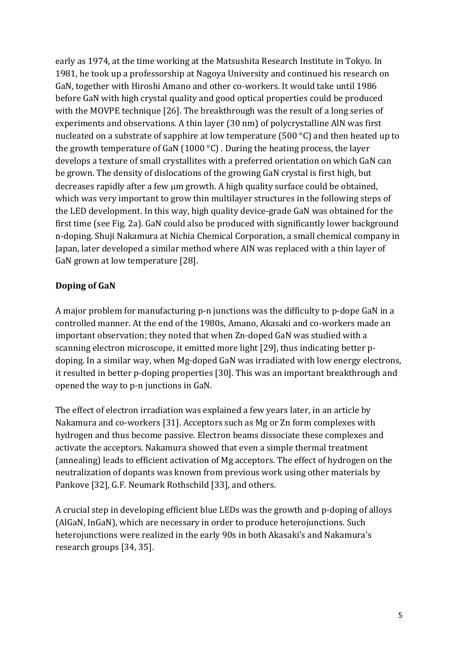early as 1974, at the time working at the Matsushita Research Institute in Tokyo. In 1981, he took up a professorship at Nagoya University and continued his research on GaN, together with Hiroshi Amano and other co-workers. It would take until 1986 before GaN with high crystal quality and good optical properties could be produced with the MOVPE technique [26]. The breakthrough was the result of a long series of experiments and observations. A thin layer (30 nm) of polycrystalline AlN was first nucleated on a substrate of sapphire at low temperature (500 °C) and then heated up to the growth temperature of GaN (1000 °C) . During the heating process, the layer develops a texture of small crystallites with a preferred orientation on which GaN can be grown. The density of dislocations of the growing GaN crystal is first high, but decreases rapidly after a few  $\mu$ m growth. A high quality surface could be obtained, which was very important to grow thin multilayer structures in the following steps of the LED development. In this way, high quality device-grade GaN was obtained for the first time (see Fig. 2a). GaN could also be produced with significantly lower background n-doping. Shuji Nakamura at Nichia Chemical Corporation, a small chemical company in Japan, later developed a similar method where AlN was replaced with a thin layer of GaN grown at low temperature [28].

#### **Doping of GaN**

A major problem for manufacturing p-n junctions was the difficulty to p-dope GaN in a controlled manner. At the end of the 1980s, Amano, Akasaki and co-workers made an important observation; they noted that when Zn-doped GaN was studied with a scanning electron microscope, it emitted more light [29], thus indicating better pdoping. In a similar way, when Mg-doped GaN was irradiated with low energy electrons, it resulted in better p-doping properties [30]. This was an important breakthrough and opened the way to p-n junctions in GaN.

The effect of electron irradiation was explained a few years later, in an article by Nakamura and co-workers [31]. Acceptors such as Mg or Zn form complexes with hydrogen and thus become passive. Electron beams dissociate these complexes and activate the acceptors. Nakamura showed that even a simple thermal treatment (annealing) leads to efficient activation of Mg acceptors. The effect of hydrogen on the neutralization of dopants was known from previous work using other materials by Pankove [32], G.F. Neumark Rothschild [33], and others.

A crucial step in developing efficient blue LEDs was the growth and p-doping of alloys (AlGaN, InGaN), which are necessary in order to produce heterojunctions. Such heterojunctions were realized in the early 90s in both Akasaki's and Nakamura's research groups [34, 35].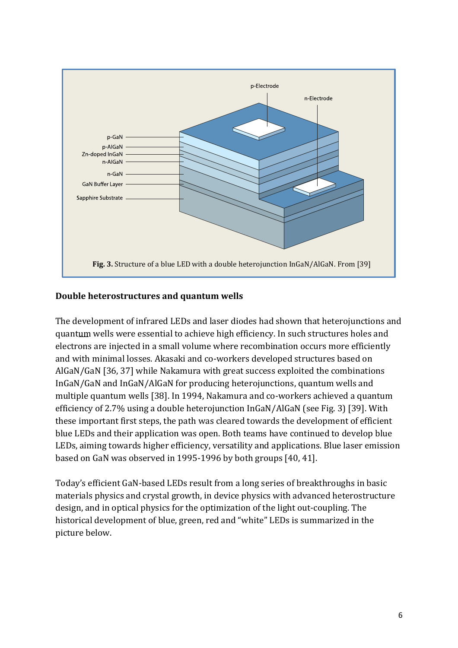

#### **Double heterostructures and quantum wells**

The development of infrared LEDs and laser diodes had shown that heterojunctions and quantum wells were essential to achieve high efficiency. In such structures holes and electrons are injected in a small volume where recombination occurs more efficiently and with minimal losses. Akasaki and co-workers developed structures based on AlGaN/GaN [36, 37] while Nakamura with great success exploited the combinations InGaN/GaN and InGaN/AlGaN for producing heterojunctions, quantum wells and multiple quantum wells [38]. In 1994, Nakamura and co-workers achieved a quantum efficiency of 2.7% using a double heterojunction InGaN/AlGaN (see Fig. 3) [39]. With these important first steps, the path was cleared towards the development of efficient blue LEDs and their application was open. Both teams have continued to develop blue LEDs, aiming towards higher efficiency, versatility and applications. Blue laser emission based on GaN was observed in 1995-1996 by both groups [40, 41].

Today's efficient GaN-based LEDs result from a long series of breakthroughs in basic materials physics and crystal growth, in device physics with advanced heterostructure design, and in optical physics for the optimization of the light out-coupling. The historical development of blue, green, red and "white" LEDs is summarized in the picture below.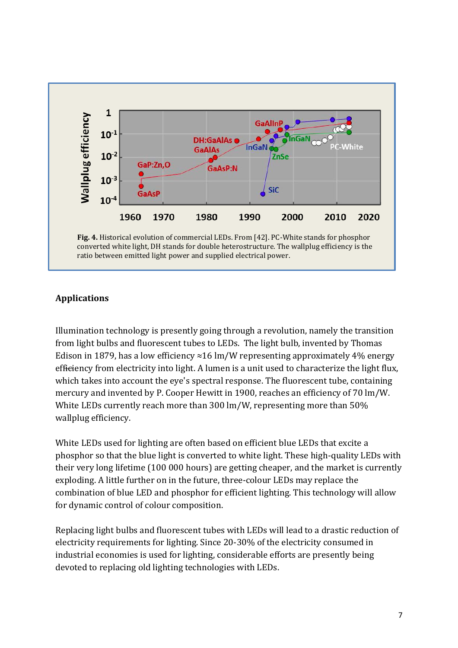

### **Applications**

Illumination technology is presently going through a revolution, namely the transition from light bulbs and fluorescent tubes to LEDs. The light bulb, invented by Thomas Edison in 1879, has a low efficiency  $\approx$  16 lm/W representing approximately 4% energy efficiency from electricity into light. A lumen is a unit used to characterize the light flux, which takes into account the eye's spectral response. The fluorescent tube, containing mercury and invented by P. Cooper Hewitt in 1900, reaches an efficiency of 70 lm/W. White LEDs currently reach more than 300 lm/W, representing more than 50% wallplug efficiency.

White LEDs used for lighting are often based on efficient blue LEDs that excite a phosphor so that the blue light is converted to white light. These high-quality LEDs with their very long lifetime (100 000 hours) are getting cheaper, and the market is currently exploding. A little further on in the future, three-colour LEDs may replace the combination of blue LED and phosphor for efficient lighting. This technology will allow for dynamic control of colour composition.

Replacing light bulbs and fluorescent tubes with LEDs will lead to a drastic reduction of electricity requirements for lighting. Since 20-30% of the electricity consumed in industrial economies is used for lighting, considerable efforts are presently being devoted to replacing old lighting technologies with LEDs.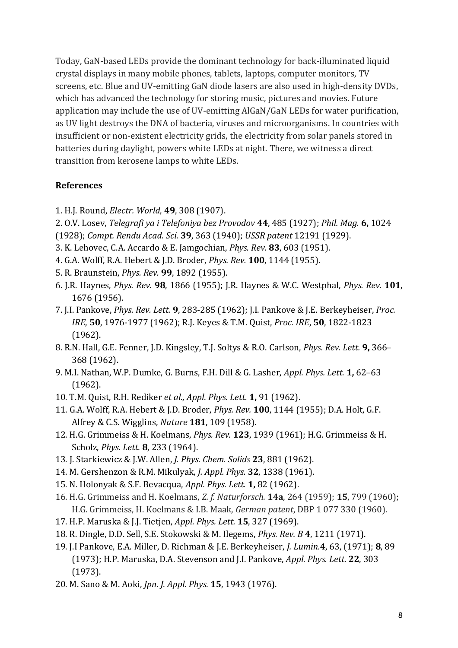Today, GaN-based LEDs provide the dominant technology for back-illuminated liquid crystal displays in many mobile phones, tablets, laptops, computer monitors, TV screens, etc. Blue and UV-emitting GaN diode lasers are also used in high-density DVDs, which has advanced the technology for storing music, pictures and movies. Future application may include the use of UV-emitting AlGaN/GaN LEDs for water purification, as UV light destroys the DNA of bacteria, viruses and microorganisms. In countries with insufficient or non-existent electricity grids, the electricity from solar panels stored in batteries during daylight, powers white LEDs at night. There, we witness a direct transition from kerosene lamps to white LEDs.

#### **References**

- 1. H.J. Round, *Electr. World*, **49**, 308 (1907).
- 2. O.V. Losev, *Telegrafi ya i Telefoniya bez Provodov* **44**, 485 (1927); *Phil. Mag.* **6,** 1024 (1928); *Compt. Rendu Acad. Sci.* **39**, 363 (1940); *USSR patent* 12191 (1929).
- 3. K. Lehovec, C.A. Accardo & E. Jamgochian, *Phys. Rev.* **83**, 603 (1951).
- 4. G.A. Wolff, R.A. Hebert & J.D. Broder, *Phys. Rev.* **100**, 1144 (1955).
- 5. R. Braunstein, *Phys. Rev.* **99**, 1892 (1955).
- 6. J.R. Haynes, *Phys. Rev.* **98**, 1866 (1955); J.R. Haynes & W.C. Westphal, *Phys. Rev.* **101**, 1676 (1956).
- 7. J.I. Pankove, *Phys. Rev. Lett.* **9**, 283-285 (1962); J.I. Pankove & J.E. Berkeyheiser, *Proc. IRE*, **50**, 1976-1977 (1962); R.J. Keyes & T.M. Quist, *Proc. IRE*, **50**, 1822-1823 (1962).
- 8. R.N. Hall, G.E. Fenner, J.D. Kingsley, T.J. Soltys & R.O. Carlson, *Phys. Rev. Lett.* **9,** 366– 368 (1962).
- 9. M.I. Nathan, W.P. Dumke, G. Burns, F.H. Dill & G. Lasher, *Appl. Phys. Lett.* **1,** 62–63 (1962).
- 10. T.M. Quist, R.H. Rediker *et al., Appl. Phys. Lett.* **1,** 91 (1962).
- 11. G.A. Wolff, R.A. Hebert & J.D. Broder, *Phys. Rev.* **100**, 1144 (1955); D.A. Holt, G.F. Alfrey & C.S. Wigglins, *Nature* **181**, 109 (1958).
- 12. H.G. Grimmeiss & H. Koelmans, *Phys. Rev.* **123**, 1939 (1961); H.G. Grimmeiss & H. Scholz, *Phys. Lett.* **8**, 233 (1964).
- 13. J. Starkiewicz & J.W. Allen, *J. Phys. Chem. Solids* **23**, 881 (1962).
- 14. M. Gershenzon & R.M. Mikulyak, *J. Appl. Phys.* **32**, 1338 (1961).
- 15. N. Holonyak & S.F. Bevacqua, *Appl. Phys. Lett.* **1,** 82 (1962).
- 16. H.G. Grimmeiss and H. Koelmans, *Z. f. Naturforsch.* **14a**, 264 (1959); **15**, 799 (1960); H.G. Grimmeiss, H. Koelmans & I.B. Maak, *German patent*, DBP 1 077 330 (1960).
- 17. H.P. Maruska & J.J. Tietjen, *Appl. Phys. Lett.* **15**, 327 (1969).
- 18. R. Dingle, D.D. Sell, S.E. Stokowski & M. Ilegems, *Phys. Rev. B* **4**, 1211 (1971).
- 19. J.I Pankove, E.A. Miller, D. Richman & J.E. Berkeyheiser, *J. Lumin.***4**, 63, (1971); **8**, 89 (1973); H.P. Maruska, D.A. Stevenson and J.I. Pankove, *Appl. Phys. Lett.* **22**, 303 (1973).
- 20. M. Sano & M. Aoki, *Jpn. J. Appl. Phys.* **15**, 1943 (1976).